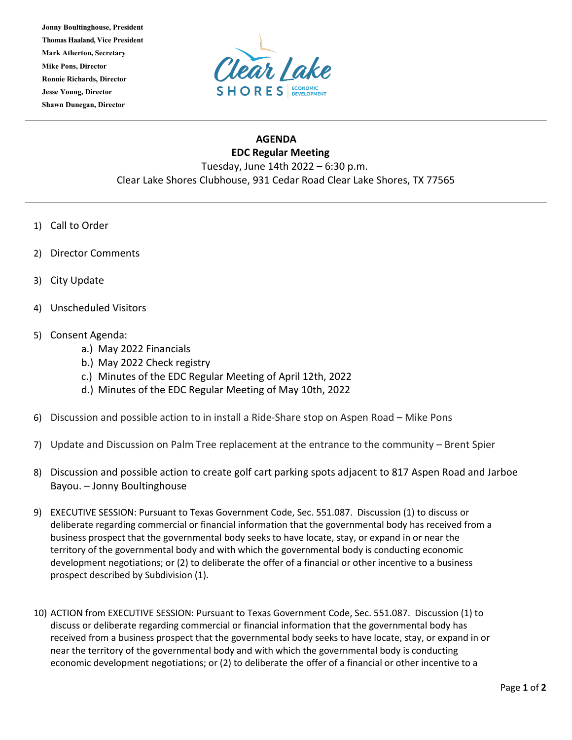**Jonny Boultinghouse, President Thomas Haaland, Vice President Mark Atherton, Secretary Mike Pons, Director Ronnie Richards, Director Jesse Young, Director Shawn Dunegan, Director**



## **AGENDA EDC Regular Meeting** Tuesday, June 14th 2022 – 6:30 p.m. Clear Lake Shores Clubhouse, 931 Cedar Road Clear Lake Shores, TX 77565

- 1) Call to Order
- 2) Director Comments
- 3) City Update
- 4) Unscheduled Visitors
- 5) Consent Agenda:
	- a.) May 2022 Financials
	- b.) May 2022 Check registry
	- c.) Minutes of the EDC Regular Meeting of April 12th, 2022
	- d.) Minutes of the EDC Regular Meeting of May 10th, 2022
- 6) Discussion and possible action to in install a Ride-Share stop on Aspen Road Mike Pons
- 7) Update and Discussion on Palm Tree replacement at the entrance to the community Brent Spier
- 8) Discussion and possible action to create golf cart parking spots adjacent to 817 Aspen Road and Jarboe Bayou. – Jonny Boultinghouse
- 9) EXECUTIVE SESSION: Pursuant to Texas Government Code, Sec. 551.087. Discussion (1) to discuss or deliberate regarding commercial or financial information that the governmental body has received from a business prospect that the governmental body seeks to have locate, stay, or expand in or near the territory of the governmental body and with which the governmental body is conducting economic development negotiations; or (2) to deliberate the offer of a financial or other incentive to a business prospect described by Subdivision (1).
- 10) ACTION from EXECUTIVE SESSION: Pursuant to Texas Government Code, Sec. 551.087. Discussion (1) to discuss or deliberate regarding commercial or financial information that the governmental body has received from a business prospect that the governmental body seeks to have locate, stay, or expand in or near the territory of the governmental body and with which the governmental body is conducting economic development negotiations; or (2) to deliberate the offer of a financial or other incentive to a